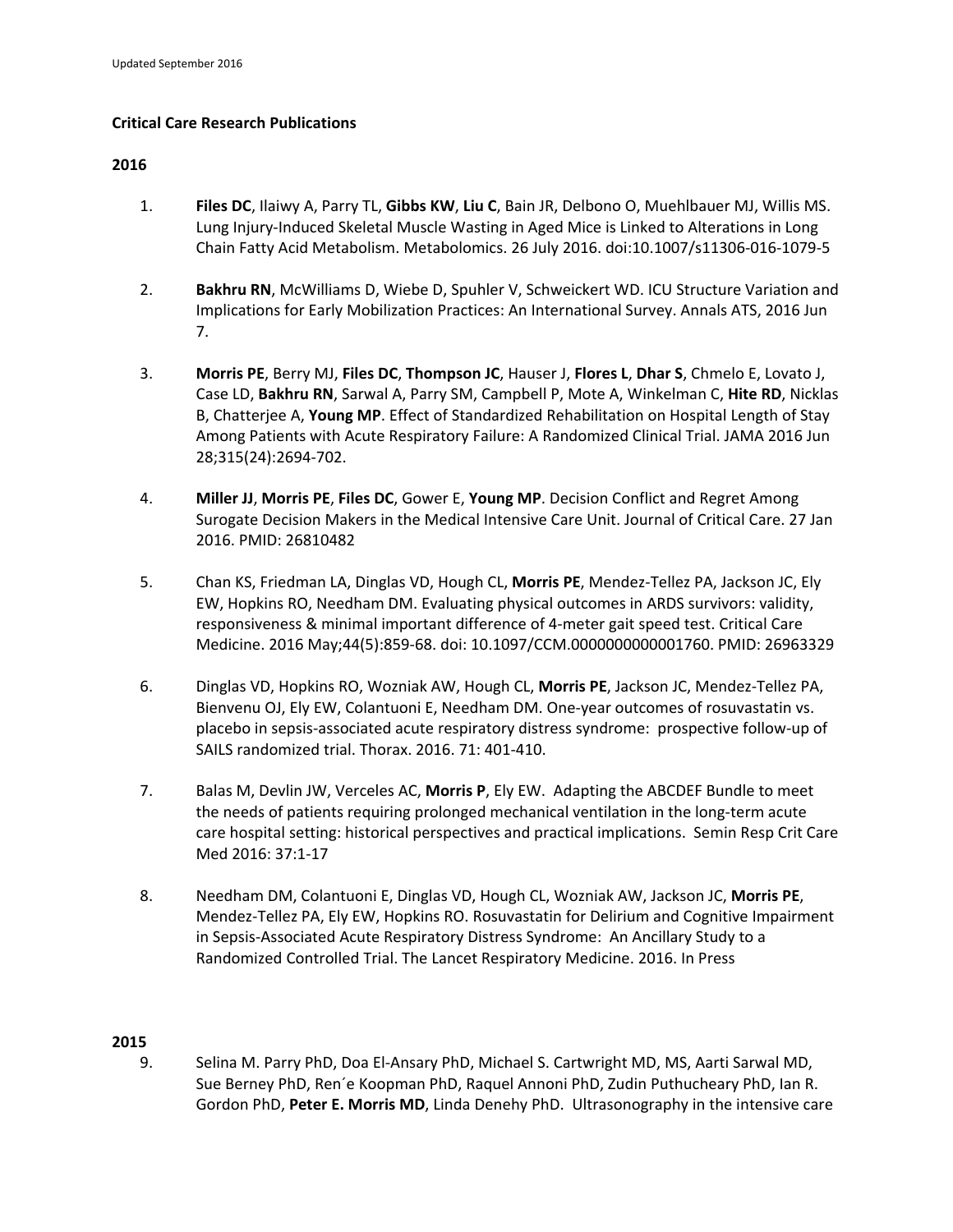# **Critical Care Research Publications**

# **2016**

- 1. **Files DC**, Ilaiwy A, Parry TL, **Gibbs KW**, **Liu C**, Bain JR, Delbono O, Muehlbauer MJ, Willis MS. Lung Injury-Induced Skeletal Muscle Wasting in Aged Mice is Linked to Alterations in Long Chain Fatty Acid Metabolism. Metabolomics. 26 July 2016. doi:10.1007/s11306‐016‐1079‐5
- 2. **Bakhru RN**, McWilliams D, Wiebe D, Spuhler V, Schweickert WD. ICU Structure Variation and Implications for Early Mobilization Practices: An International Survey. Annals ATS, 2016 Jun 7.
- 3. **Morris PE**, Berry MJ, **Files DC**, **Thompson JC**, Hauser J, **Flores L**, **Dhar S**, Chmelo E, Lovato J, Case LD, **Bakhru RN**, Sarwal A, Parry SM, Campbell P, Mote A, Winkelman C, **Hite RD**, Nicklas B, Chatterjee A, **Young MP**. Effect of Standardized Rehabilitation on Hospital Length of Stay Among Patients with Acute Respiratory Failure: A Randomized Clinical Trial. JAMA 2016 Jun 28;315(24):2694‐702.
- 4. **Miller JJ**, **Morris PE**, **Files DC**, Gower E, **Young MP**. Decision Conflict and Regret Among Surogate Decision Makers in the Medical Intensive Care Unit. Journal of Critical Care. 27 Jan 2016. PMID: 26810482
- 5. Chan KS, Friedman LA, Dinglas VD, Hough CL, **Morris PE**, Mendez‐Tellez PA, Jackson JC, Ely EW, Hopkins RO, Needham DM. Evaluating physical outcomes in ARDS survivors: validity, responsiveness & minimal important difference of 4‐meter gait speed test. Critical Care Medicine. 2016 May;44(5):859‐68. doi: 10.1097/CCM.0000000000001760. PMID: 26963329
- 6. Dinglas VD, Hopkins RO, Wozniak AW, Hough CL, **Morris PE**, Jackson JC, Mendez‐Tellez PA, Bienvenu OJ, Ely EW, Colantuoni E, Needham DM. One‐year outcomes of rosuvastatin vs. placebo in sepsis‐associated acute respiratory distress syndrome: prospective follow‐up of SAILS randomized trial. Thorax. 2016. 71: 401‐410.
- 7. Balas M, Devlin JW, Verceles AC, **Morris P**, Ely EW. Adapting the ABCDEF Bundle to meet the needs of patients requiring prolonged mechanical ventilation in the long-term acute care hospital setting: historical perspectives and practical implications. Semin Resp Crit Care Med 2016: 37:1‐17
- 8. Needham DM, Colantuoni E, Dinglas VD, Hough CL, Wozniak AW, Jackson JC, **Morris PE**, Mendez‐Tellez PA, Ely EW, Hopkins RO. Rosuvastatin for Delirium and Cognitive Impairment in Sepsis‐Associated Acute Respiratory Distress Syndrome: An Ancillary Study to a Randomized Controlled Trial. The Lancet Respiratory Medicine. 2016. In Press

# **2015**

9. Selina M. Parry PhD, Doa El‐Ansary PhD, Michael S. Cartwright MD, MS, Aarti Sarwal MD, Sue Berney PhD, Ren´e Koopman PhD, Raquel Annoni PhD, Zudin Puthucheary PhD, Ian R. Gordon PhD, **Peter E. Morris MD**, Linda Denehy PhD. Ultrasonography in the intensive care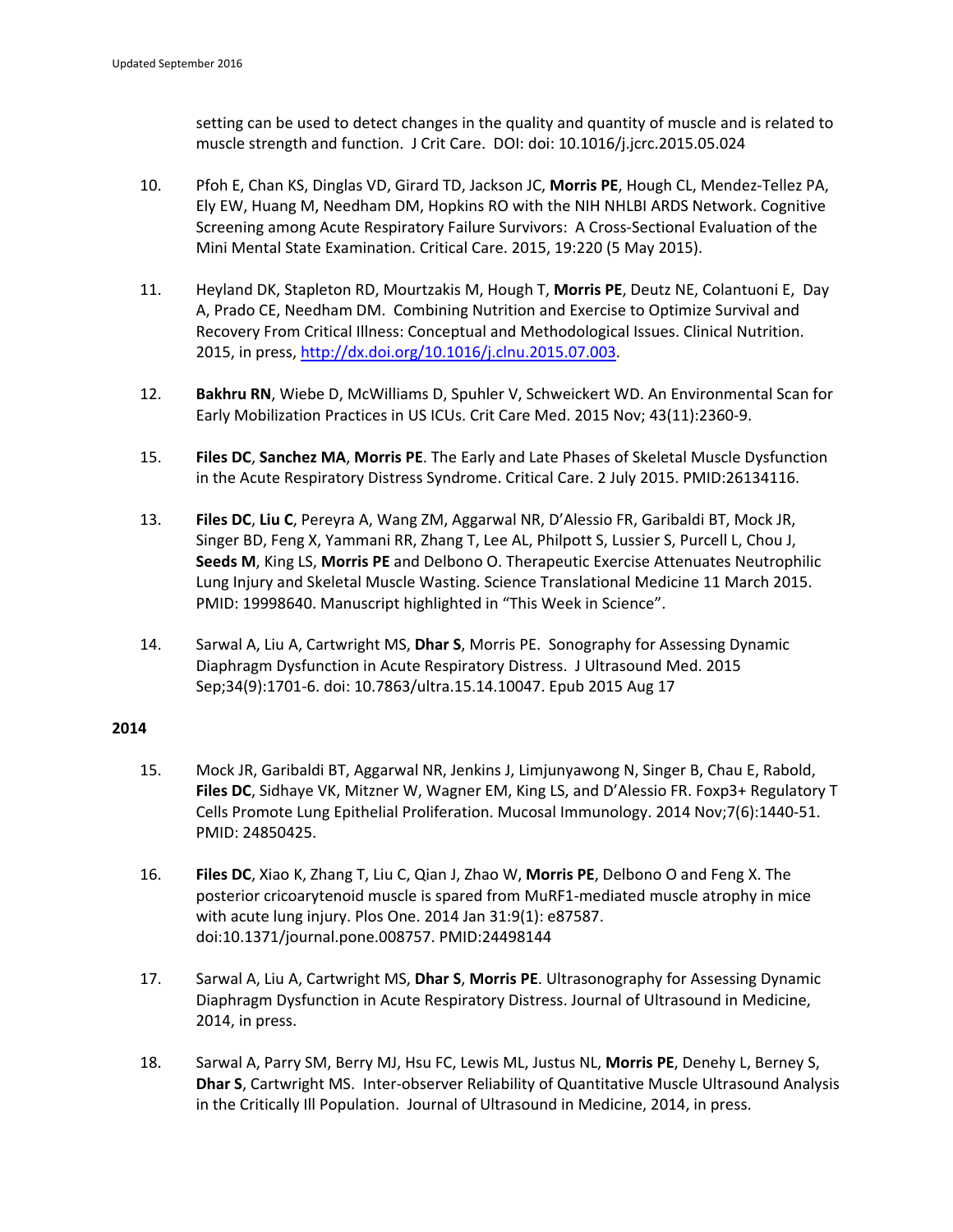setting can be used to detect changes in the quality and quantity of muscle and is related to muscle strength and function. J Crit Care. DOI: doi: 10.1016/j.jcrc.2015.05.024

- 10. Pfoh E, Chan KS, Dinglas VD, Girard TD, Jackson JC, **Morris PE**, Hough CL, Mendez‐Tellez PA, Ely EW, Huang M, Needham DM, Hopkins RO with the NIH NHLBI ARDS Network. Cognitive Screening among Acute Respiratory Failure Survivors: A Cross‐Sectional Evaluation of the Mini Mental State Examination. Critical Care. 2015, 19:220 (5 May 2015).
- 11. Heyland DK, Stapleton RD, Mourtzakis M, Hough T, **Morris PE**, Deutz NE, Colantuoni E, Day A, Prado CE, Needham DM. Combining Nutrition and Exercise to Optimize Survival and Recovery From Critical Illness: Conceptual and Methodological Issues. Clinical Nutrition. 2015, in press, http://dx.doi.org/10.1016/j.clnu.2015.07.003.
- 12. **Bakhru RN**, Wiebe D, McWilliams D, Spuhler V, Schweickert WD. An Environmental Scan for Early Mobilization Practices in US ICUs. Crit Care Med. 2015 Nov; 43(11):2360‐9.
- 15. **Files DC**, **Sanchez MA**, **Morris PE**. The Early and Late Phases of Skeletal Muscle Dysfunction in the Acute Respiratory Distress Syndrome. Critical Care. 2 July 2015. PMID:26134116.
- 13. **Files DC**, **Liu C**, Pereyra A, Wang ZM, Aggarwal NR, D'Alessio FR, Garibaldi BT, Mock JR, Singer BD, Feng X, Yammani RR, Zhang T, Lee AL, Philpott S, Lussier S, Purcell L, Chou J, **Seeds M**, King LS, **Morris PE** and Delbono O. Therapeutic Exercise Attenuates Neutrophilic Lung Injury and Skeletal Muscle Wasting. Science Translational Medicine 11 March 2015. PMID: 19998640. Manuscript highlighted in "This Week in Science".
- 14. Sarwal A, Liu A, Cartwright MS, **Dhar S**, Morris PE. Sonography for Assessing Dynamic Diaphragm Dysfunction in Acute Respiratory Distress. J Ultrasound Med. 2015 Sep;34(9):1701‐6. doi: 10.7863/ultra.15.14.10047. Epub 2015 Aug 17

- 15. Mock JR, Garibaldi BT, Aggarwal NR, Jenkins J, Limjunyawong N, Singer B, Chau E, Rabold, **Files DC**, Sidhaye VK, Mitzner W, Wagner EM, King LS, and D'Alessio FR. Foxp3+ Regulatory T Cells Promote Lung Epithelial Proliferation. Mucosal Immunology. 2014 Nov;7(6):1440‐51. PMID: 24850425.
- 16. **Files DC**, Xiao K, Zhang T, Liu C, Qian J, Zhao W, **Morris PE**, Delbono O and Feng X. The posterior cricoarytenoid muscle is spared from MuRF1‐mediated muscle atrophy in mice with acute lung injury. Plos One. 2014 Jan 31:9(1): e87587. doi:10.1371/journal.pone.008757. PMID:24498144
- 17. Sarwal A, Liu A, Cartwright MS, **Dhar S**, **Morris PE**. Ultrasonography for Assessing Dynamic Diaphragm Dysfunction in Acute Respiratory Distress. Journal of Ultrasound in Medicine, 2014, in press.
- 18. Sarwal A, Parry SM, Berry MJ, Hsu FC, Lewis ML, Justus NL, **Morris PE**, Denehy L, Berney S, **Dhar S**, Cartwright MS. Inter‐observer Reliability of Quantitative Muscle Ultrasound Analysis in the Critically Ill Population. Journal of Ultrasound in Medicine, 2014, in press.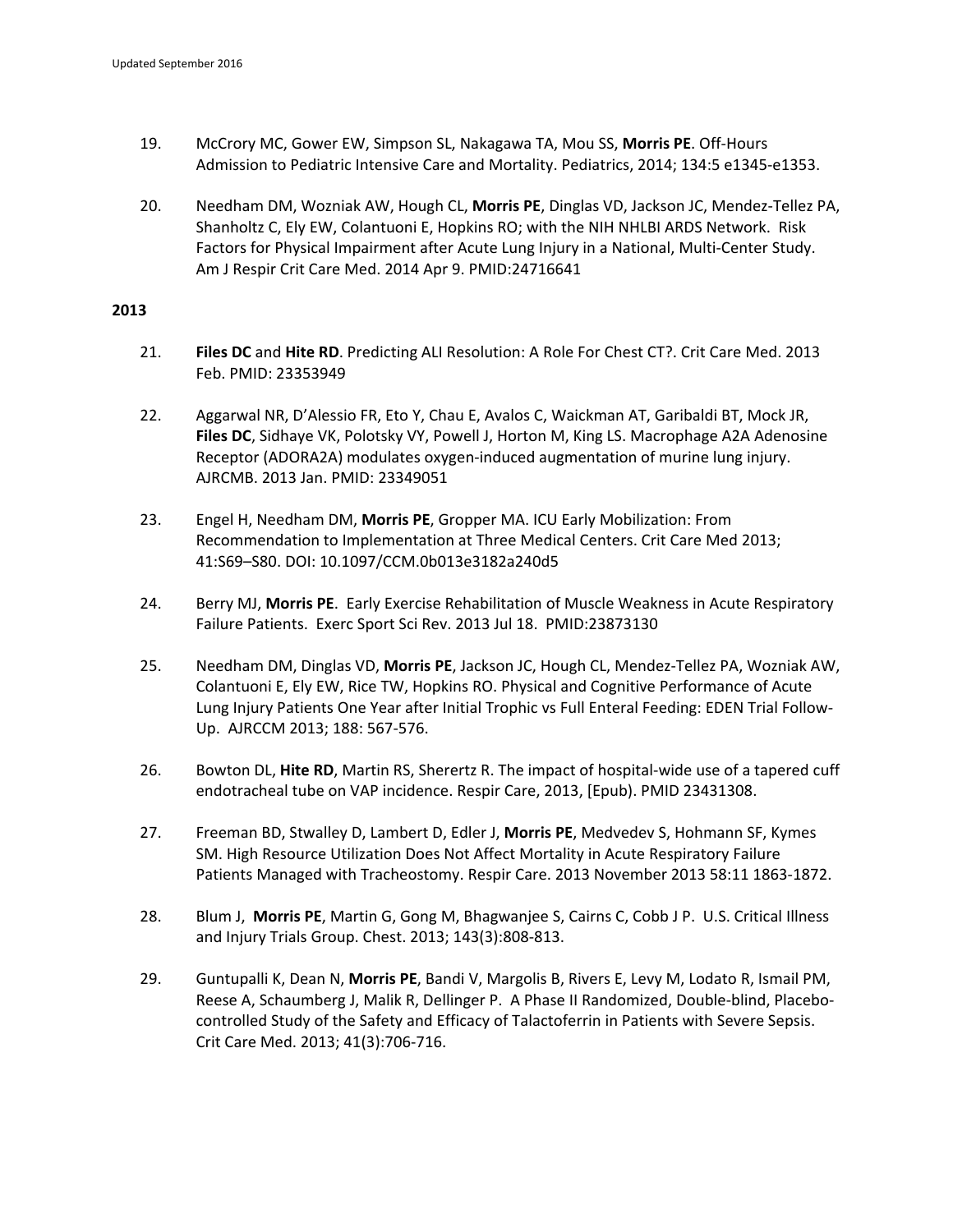- 19. McCrory MC, Gower EW, Simpson SL, Nakagawa TA, Mou SS, **Morris PE**. Off‐Hours Admission to Pediatric Intensive Care and Mortality. Pediatrics, 2014; 134:5 e1345‐e1353.
- 20. Needham DM, Wozniak AW, Hough CL, **Morris PE**, Dinglas VD, Jackson JC, Mendez‐Tellez PA, Shanholtz C, Ely EW, Colantuoni E, Hopkins RO; with the NIH NHLBI ARDS Network. Risk Factors for Physical Impairment after Acute Lung Injury in a National, Multi‐Center Study. Am J Respir Crit Care Med. 2014 Apr 9. PMID:24716641

- 21. **Files DC** and **Hite RD**. Predicting ALI Resolution: A Role For Chest CT?. Crit Care Med. 2013 Feb. PMID: 23353949
- 22. Aggarwal NR, D'Alessio FR, Eto Y, Chau E, Avalos C, Waickman AT, Garibaldi BT, Mock JR, **Files DC**, Sidhaye VK, Polotsky VY, Powell J, Horton M, King LS. Macrophage A2A Adenosine Receptor (ADORA2A) modulates oxygen‐induced augmentation of murine lung injury. AJRCMB. 2013 Jan. PMID: 23349051
- 23. Engel H, Needham DM, **Morris PE**, Gropper MA. ICU Early Mobilization: From Recommendation to Implementation at Three Medical Centers. Crit Care Med 2013; 41:S69–S80. DOI: 10.1097/CCM.0b013e3182a240d5
- 24. Berry MJ, **Morris PE**. Early Exercise Rehabilitation of Muscle Weakness in Acute Respiratory Failure Patients. Exerc Sport Sci Rev. 2013 Jul 18. PMID:23873130
- 25. Needham DM, Dinglas VD, **Morris PE**, Jackson JC, Hough CL, Mendez‐Tellez PA, Wozniak AW, Colantuoni E, Ely EW, Rice TW, Hopkins RO. Physical and Cognitive Performance of Acute Lung Injury Patients One Year after Initial Trophic vs Full Enteral Feeding: EDEN Trial Follow‐ Up. AJRCCM 2013; 188: 567‐576.
- 26. Bowton DL, Hite RD, Martin RS, Sherertz R. The impact of hospital-wide use of a tapered cuff endotracheal tube on VAP incidence. Respir Care, 2013, [Epub). PMID 23431308.
- 27. Freeman BD, Stwalley D, Lambert D, Edler J, **Morris PE**, Medvedev S, Hohmann SF, Kymes SM. High Resource Utilization Does Not Affect Mortality in Acute Respiratory Failure Patients Managed with Tracheostomy. Respir Care. 2013 November 2013 58:11 1863‐1872.
- 28. Blum J, **Morris PE**, Martin G, Gong M, Bhagwanjee S, Cairns C, Cobb J P. U.S. Critical Illness and Injury Trials Group. Chest. 2013; 143(3):808‐813.
- 29. Guntupalli K, Dean N, **Morris PE**, Bandi V, Margolis B, Rivers E, Levy M, Lodato R, Ismail PM, Reese A, Schaumberg J, Malik R, Dellinger P. A Phase II Randomized, Double-blind, Placebocontrolled Study of the Safety and Efficacy of Talactoferrin in Patients with Severe Sepsis. Crit Care Med. 2013; 41(3):706‐716.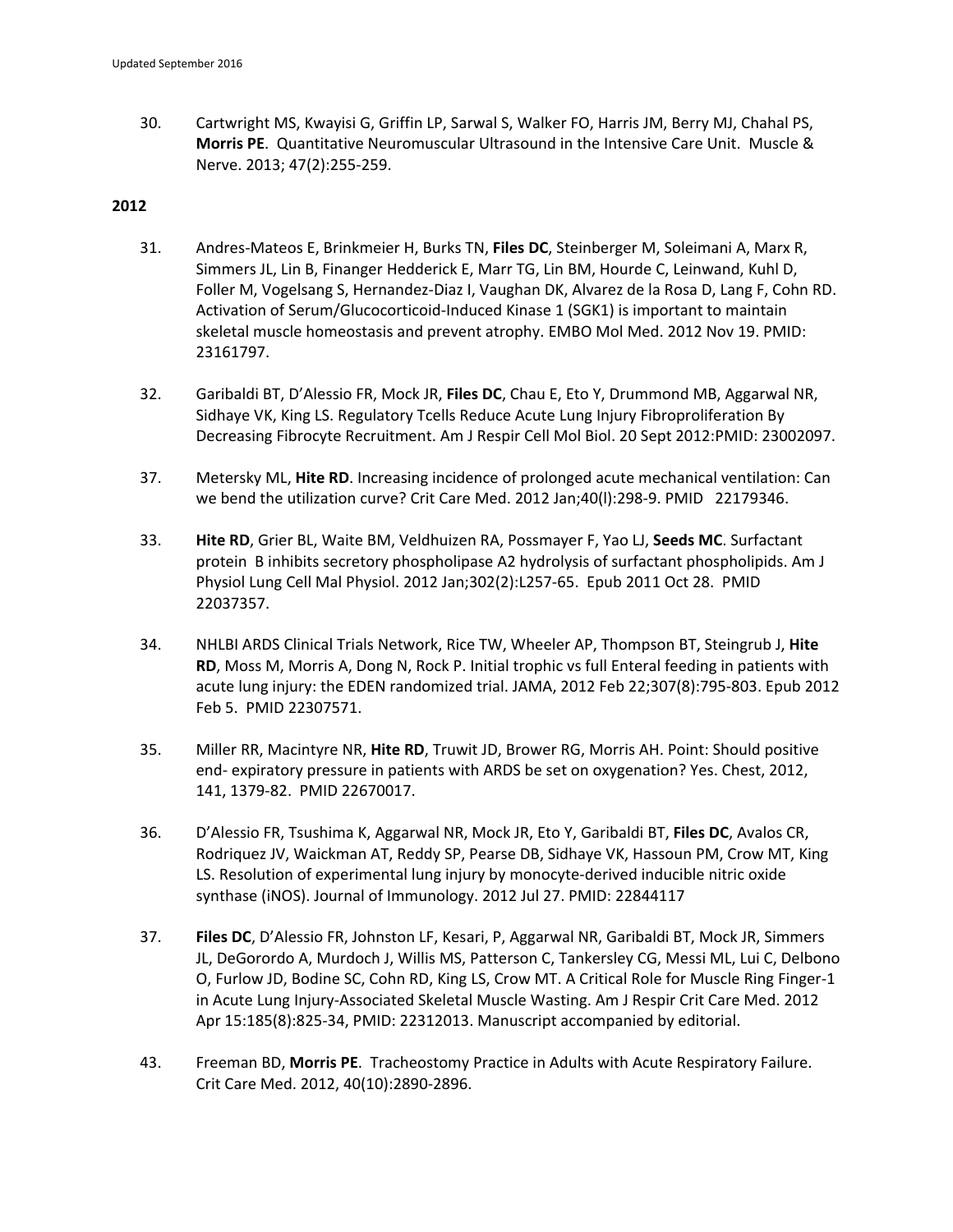30. Cartwright MS, Kwayisi G, Griffin LP, Sarwal S, Walker FO, Harris JM, Berry MJ, Chahal PS, **Morris PE**. Quantitative Neuromuscular Ultrasound in the Intensive Care Unit. Muscle & Nerve. 2013; 47(2):255‐259.

- 31. Andres‐Mateos E, Brinkmeier H, Burks TN, **Files DC**, Steinberger M, Soleimani A, Marx R, Simmers JL, Lin B, Finanger Hedderick E, Marr TG, Lin BM, Hourde C, Leinwand, Kuhl D, Foller M, Vogelsang S, Hernandez‐Diaz I, Vaughan DK, Alvarez de la Rosa D, Lang F, Cohn RD. Activation of Serum/Glucocorticoid‐Induced Kinase 1 (SGK1) is important to maintain skeletal muscle homeostasis and prevent atrophy. EMBO Mol Med. 2012 Nov 19. PMID: 23161797.
- 32. Garibaldi BT, D'Alessio FR, Mock JR, **Files DC**, Chau E, Eto Y, Drummond MB, Aggarwal NR, Sidhaye VK, King LS. Regulatory Tcells Reduce Acute Lung Injury Fibroproliferation By Decreasing Fibrocyte Recruitment. Am J Respir Cell Mol Biol. 20 Sept 2012:PMID: 23002097.
- 37. Metersky ML, **Hite RD**. Increasing incidence of prolonged acute mechanical ventilation: Can we bend the utilization curve? Crit Care Med. 2012 Jan;40(l):298‐9. PMID 22179346.
- 33. **Hite RD**, Grier BL, Waite BM, Veldhuizen RA, Possmayer F, Yao LJ, **Seeds MC**. Surfactant protein B inhibits secretory phospholipase A2 hydrolysis of surfactant phospholipids. Am J Physiol Lung Cell Mal Physiol. 2012 Jan;302(2):L257‐65. Epub 2011 Oct 28. PMID 22037357.
- 34. NHLBI ARDS Clinical Trials Network, Rice TW, Wheeler AP, Thompson BT, Steingrub J, **Hite RD**, Moss M, Morris A, Dong N, Rock P. Initial trophic vs full Enteral feeding in patients with acute lung injury: the EDEN randomized trial. JAMA, 2012 Feb 22;307(8):795‐803. Epub 2012 Feb 5. PMID 22307571.
- 35. Miller RR, Macintyre NR, **Hite RD**, Truwit JD, Brower RG, Morris AH. Point: Should positive end‐ expiratory pressure in patients with ARDS be set on oxygenation? Yes. Chest, 2012, 141, 1379‐82. PMID 22670017.
- 36. D'Alessio FR, Tsushima K, Aggarwal NR, Mock JR, Eto Y, Garibaldi BT, **Files DC**, Avalos CR, Rodriquez JV, Waickman AT, Reddy SP, Pearse DB, Sidhaye VK, Hassoun PM, Crow MT, King LS. Resolution of experimental lung injury by monocyte‐derived inducible nitric oxide synthase (iNOS). Journal of Immunology. 2012 Jul 27. PMID: 22844117
- 37. **Files DC**, D'Alessio FR, Johnston LF, Kesari, P, Aggarwal NR, Garibaldi BT, Mock JR, Simmers JL, DeGorordo A, Murdoch J, Willis MS, Patterson C, Tankersley CG, Messi ML, Lui C, Delbono O, Furlow JD, Bodine SC, Cohn RD, King LS, Crow MT. A Critical Role for Muscle Ring Finger‐1 in Acute Lung Injury‐Associated Skeletal Muscle Wasting. Am J Respir Crit Care Med. 2012 Apr 15:185(8):825‐34, PMID: 22312013. Manuscript accompanied by editorial.
- 43. Freeman BD, **Morris PE**. Tracheostomy Practice in Adults with Acute Respiratory Failure. Crit Care Med. 2012, 40(10):2890‐2896.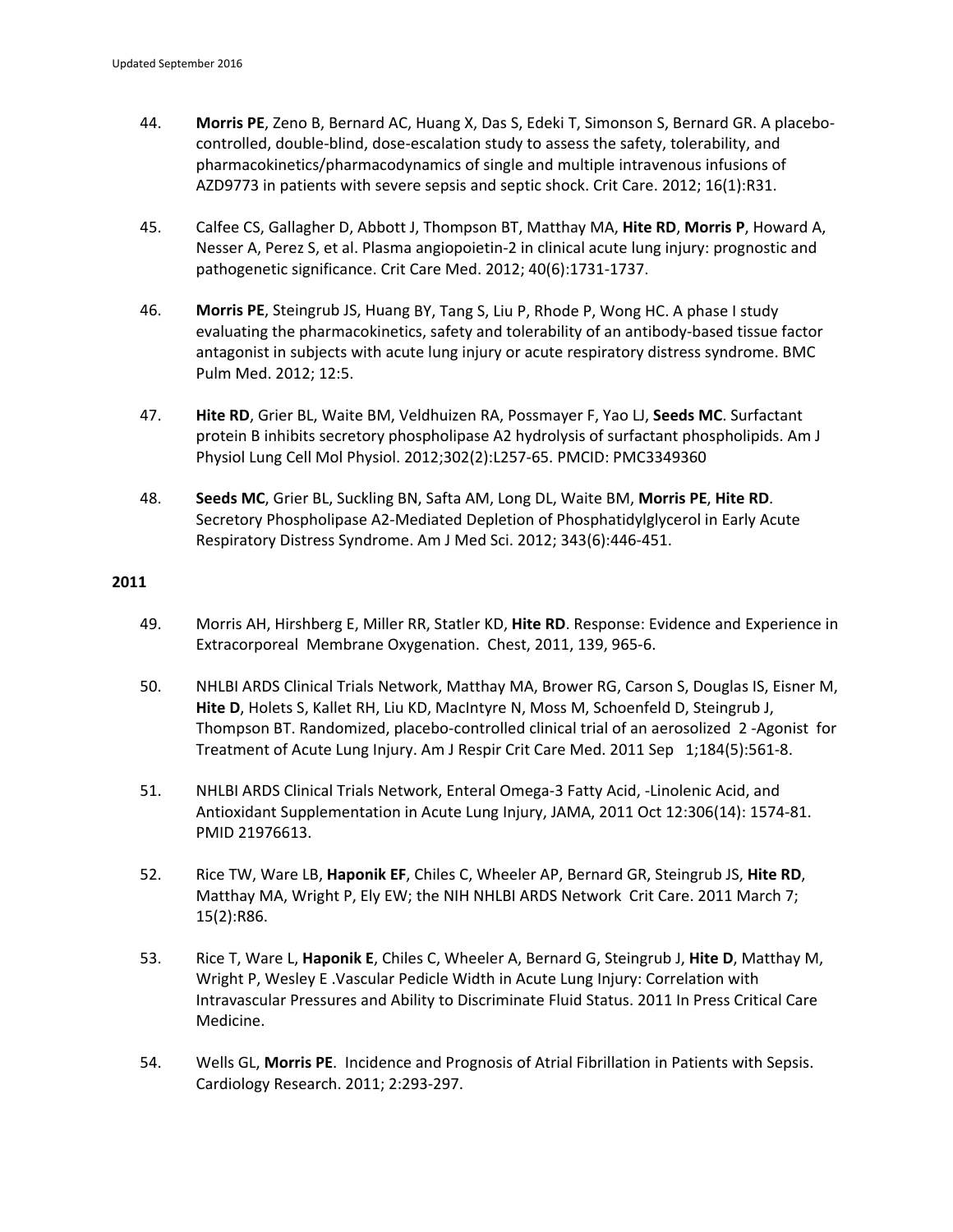- 44. **Morris PE**, Zeno B, Bernard AC, Huang X, Das S, Edeki T, Simonson S, Bernard GR. A placebo‐ controlled, double‐blind, dose‐escalation study to assess the safety, tolerability, and pharmacokinetics/pharmacodynamics of single and multiple intravenous infusions of AZD9773 in patients with severe sepsis and septic shock. Crit Care. 2012; 16(1):R31.
- 45. Calfee CS, Gallagher D, Abbott J, Thompson BT, Matthay MA, **Hite RD**, **Morris P**, Howard A, Nesser A, Perez S, et al. Plasma angiopoietin‐2 in clinical acute lung injury: prognostic and pathogenetic significance. Crit Care Med. 2012; 40(6):1731‐1737.
- 46. **Morris PE**, Steingrub JS, Huang BY, Tang S, Liu P, Rhode P, Wong HC. A phase I study evaluating the pharmacokinetics, safety and tolerability of an antibody‐based tissue factor antagonist in subjects with acute lung injury or acute respiratory distress syndrome. BMC Pulm Med. 2012; 12:5.
- 47. **Hite RD**, Grier BL, Waite BM, Veldhuizen RA, Possmayer F, Yao LJ, **Seeds MC**. Surfactant protein B inhibits secretory phospholipase A2 hydrolysis of surfactant phospholipids. Am J Physiol Lung Cell Mol Physiol. 2012;302(2):L257‐65. PMCID: PMC3349360
- 48. **Seeds MC**, Grier BL, Suckling BN, Safta AM, Long DL, Waite BM, **Morris PE**, **Hite RD**. Secretory Phospholipase A2‐Mediated Depletion of Phosphatidylglycerol in Early Acute Respiratory Distress Syndrome. Am J Med Sci. 2012; 343(6):446‐451.

- 49. Morris AH, Hirshberg E, Miller RR, Statler KD, **Hite RD**. Response: Evidence and Experience in Extracorporeal Membrane Oxygenation. Chest, 2011, 139, 965‐6.
- 50. NHLBI ARDS Clinical Trials Network, Matthay MA, Brower RG, Carson S, Douglas IS, Eisner M, **Hite D**, Holets S, Kallet RH, Liu KD, MacIntyre N, Moss M, Schoenfeld D, Steingrub J, Thompson BT. Randomized, placebo‐controlled clinical trial of an aerosolized 2 ‐Agonist for Treatment of Acute Lung Injury. Am J Respir Crit Care Med. 2011 Sep 1;184(5):561‐8.
- 51. NHLBI ARDS Clinical Trials Network, Enteral Omega‐3 Fatty Acid, ‐Linolenic Acid, and Antioxidant Supplementation in Acute Lung Injury, JAMA, 2011 Oct 12:306(14): 1574‐81. PMID 21976613.
- 52. Rice TW, Ware LB, **Haponik EF**, Chiles C, Wheeler AP, Bernard GR, Steingrub JS, **Hite RD**, Matthay MA, Wright P, Ely EW; the NIH NHLBI ARDS Network Crit Care. 2011 March 7; 15(2):R86.
- 53. Rice T, Ware L, **Haponik E**, Chiles C, Wheeler A, Bernard G, Steingrub J, **Hite D**, Matthay M, Wright P, Wesley E .Vascular Pedicle Width in Acute Lung Injury: Correlation with Intravascular Pressures and Ability to Discriminate Fluid Status. 2011 In Press Critical Care Medicine.
- 54. Wells GL, **Morris PE**. Incidence and Prognosis of Atrial Fibrillation in Patients with Sepsis. Cardiology Research. 2011; 2:293‐297.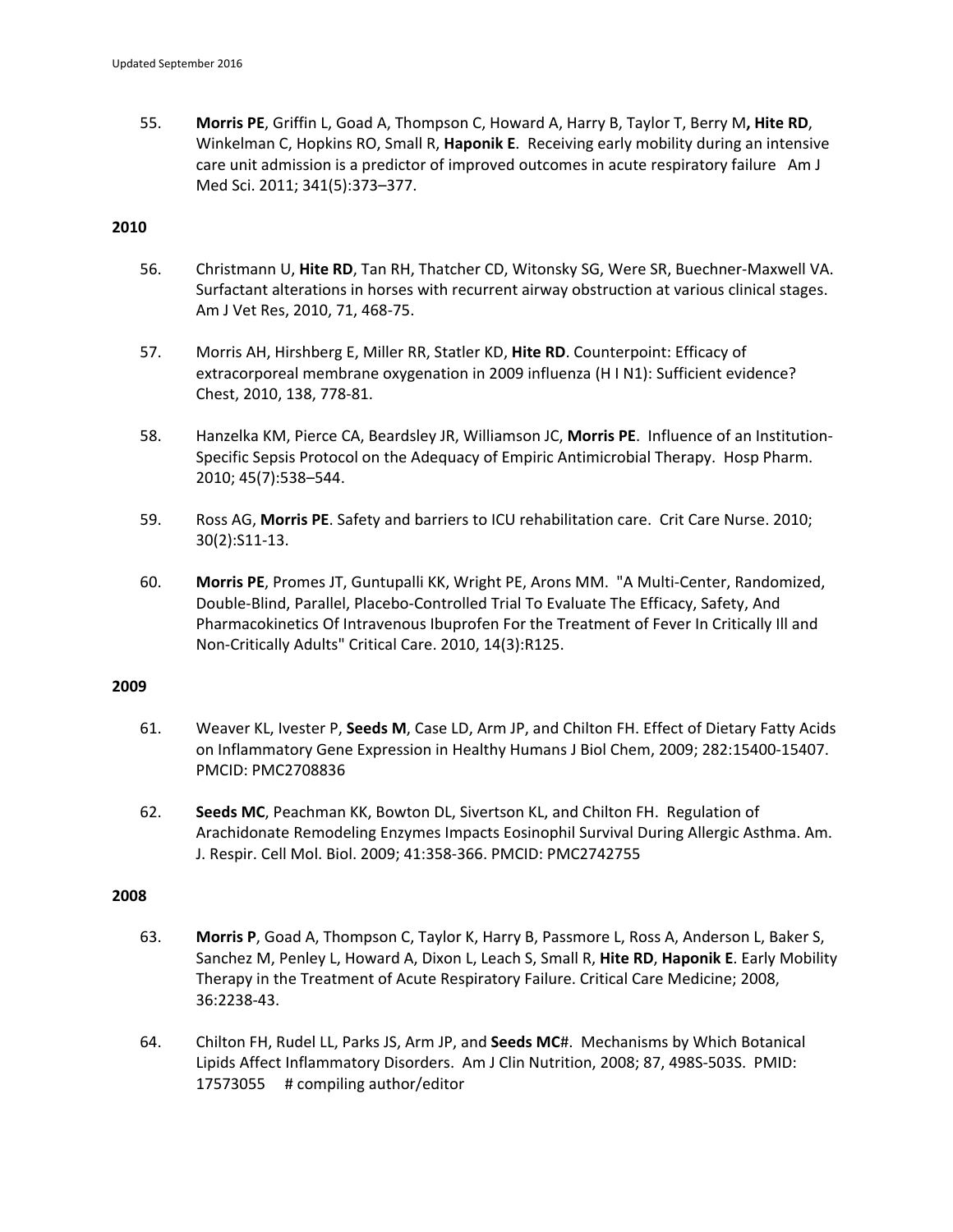55. **Morris PE**, Griffin L, Goad A, Thompson C, Howard A, Harry B, Taylor T, Berry M**, Hite RD**, Winkelman C, Hopkins RO, Small R, **Haponik E**. Receiving early mobility during an intensive care unit admission is a predictor of improved outcomes in acute respiratory failure Am J Med Sci. 2011; 341(5):373–377.

# **2010**

- 56. Christmann U, **Hite RD**, Tan RH, Thatcher CD, Witonsky SG, Were SR, Buechner‐Maxwell VA. Surfactant alterations in horses with recurrent airway obstruction at various clinical stages. Am J Vet Res, 2010, 71, 468‐75.
- 57. Morris AH, Hirshberg E, Miller RR, Statler KD, **Hite RD**. Counterpoint: Efficacy of extracorporeal membrane oxygenation in 2009 influenza (H I N1): Sufficient evidence? Chest, 2010, 138, 778‐81.
- 58. Hanzelka KM, Pierce CA, Beardsley JR, Williamson JC, **Morris PE**. Influence of an Institution‐ Specific Sepsis Protocol on the Adequacy of Empiric Antimicrobial Therapy. Hosp Pharm. 2010; 45(7):538–544.
- 59. Ross AG, **Morris PE**. Safety and barriers to ICU rehabilitation care. Crit Care Nurse. 2010; 30(2):S11‐13.
- 60. **Morris PE**, Promes JT, Guntupalli KK, Wright PE, Arons MM. "A Multi‐Center, Randomized, Double‐Blind, Parallel, Placebo‐Controlled Trial To Evaluate The Efficacy, Safety, And Pharmacokinetics Of Intravenous Ibuprofen For the Treatment of Fever In Critically Ill and Non‐Critically Adults" Critical Care. 2010, 14(3):R125.

# **2009**

- 61. Weaver KL, Ivester P, **Seeds M**, Case LD, Arm JP, and Chilton FH. Effect of Dietary Fatty Acids on Inflammatory Gene Expression in Healthy Humans J Biol Chem, 2009; 282:15400‐15407. PMCID: PMC2708836
- 62. **Seeds MC**, Peachman KK, Bowton DL, Sivertson KL, and Chilton FH. Regulation of Arachidonate Remodeling Enzymes Impacts Eosinophil Survival During Allergic Asthma. Am. J. Respir. Cell Mol. Biol. 2009; 41:358‐366. PMCID: PMC2742755

- 63. **Morris P**, Goad A, Thompson C, Taylor K, Harry B, Passmore L, Ross A, Anderson L, Baker S, Sanchez M, Penley L, Howard A, Dixon L, Leach S, Small R, **Hite RD**, **Haponik E**. Early Mobility Therapy in the Treatment of Acute Respiratory Failure. Critical Care Medicine; 2008, 36:2238‐43.
- 64. Chilton FH, Rudel LL, Parks JS, Arm JP, and **Seeds MC**#. Mechanisms by Which Botanical Lipids Affect Inflammatory Disorders. Am J Clin Nutrition, 2008; 87, 498S‐503S. PMID: 17573055 # compiling author/editor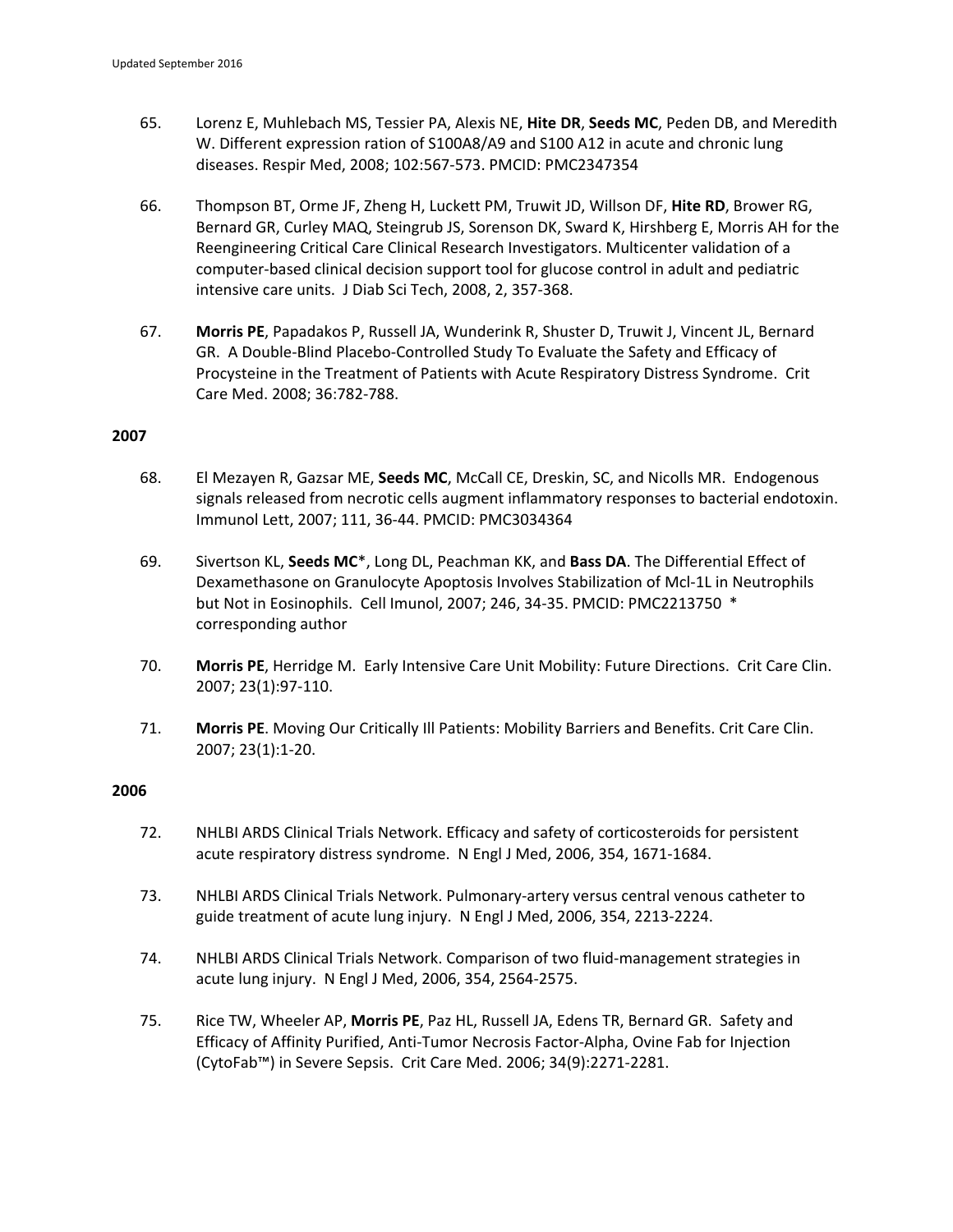- 65. Lorenz E, Muhlebach MS, Tessier PA, Alexis NE, **Hite DR**, **Seeds MC**, Peden DB, and Meredith W. Different expression ration of S100A8/A9 and S100 A12 in acute and chronic lung diseases. Respir Med, 2008; 102:567‐573. PMCID: PMC2347354
- 66. Thompson BT, Orme JF, Zheng H, Luckett PM, Truwit JD, Willson DF, **Hite RD**, Brower RG, Bernard GR, Curley MAQ, Steingrub JS, Sorenson DK, Sward K, Hirshberg E, Morris AH for the Reengineering Critical Care Clinical Research Investigators. Multicenter validation of a computer‐based clinical decision support tool for glucose control in adult and pediatric intensive care units. J Diab Sci Tech, 2008, 2, 357‐368.
- 67. **Morris PE**, Papadakos P, Russell JA, Wunderink R, Shuster D, Truwit J, Vincent JL, Bernard GR. A Double‐Blind Placebo‐Controlled Study To Evaluate the Safety and Efficacy of Procysteine in the Treatment of Patients with Acute Respiratory Distress Syndrome. Crit Care Med. 2008; 36:782‐788.

- 68. El Mezayen R, Gazsar ME, **Seeds MC**, McCall CE, Dreskin, SC, and Nicolls MR. Endogenous signals released from necrotic cells augment inflammatory responses to bacterial endotoxin. Immunol Lett, 2007; 111, 36‐44. PMCID: PMC3034364
- 69. Sivertson KL, **Seeds MC**\*, Long DL, Peachman KK, and **Bass DA**. The Differential Effect of Dexamethasone on Granulocyte Apoptosis Involves Stabilization of Mcl‐1L in Neutrophils but Not in Eosinophils. Cell Imunol, 2007; 246, 34‐35. PMCID: PMC2213750 \* corresponding author
- 70. **Morris PE**, Herridge M. Early Intensive Care Unit Mobility: Future Directions. Crit Care Clin. 2007; 23(1):97‐110.
- 71. **Morris PE**. Moving Our Critically Ill Patients: Mobility Barriers and Benefits. Crit Care Clin. 2007; 23(1):1‐20.

- 72. NHLBI ARDS Clinical Trials Network. Efficacy and safety of corticosteroids for persistent acute respiratory distress syndrome. N Engl J Med, 2006, 354, 1671‐1684.
- 73. NHLBI ARDS Clinical Trials Network. Pulmonary‐artery versus central venous catheter to guide treatment of acute lung injury. N Engl J Med, 2006, 354, 2213‐2224.
- 74. NHLBI ARDS Clinical Trials Network. Comparison of two fluid-management strategies in acute lung injury. N Engl J Med, 2006, 354, 2564‐2575.
- 75. Rice TW, Wheeler AP, **Morris PE**, Paz HL, Russell JA, Edens TR, Bernard GR. Safety and Efficacy of Affinity Purified, Anti‐Tumor Necrosis Factor‐Alpha, Ovine Fab for Injection (CytoFab™) in Severe Sepsis. Crit Care Med. 2006; 34(9):2271‐2281.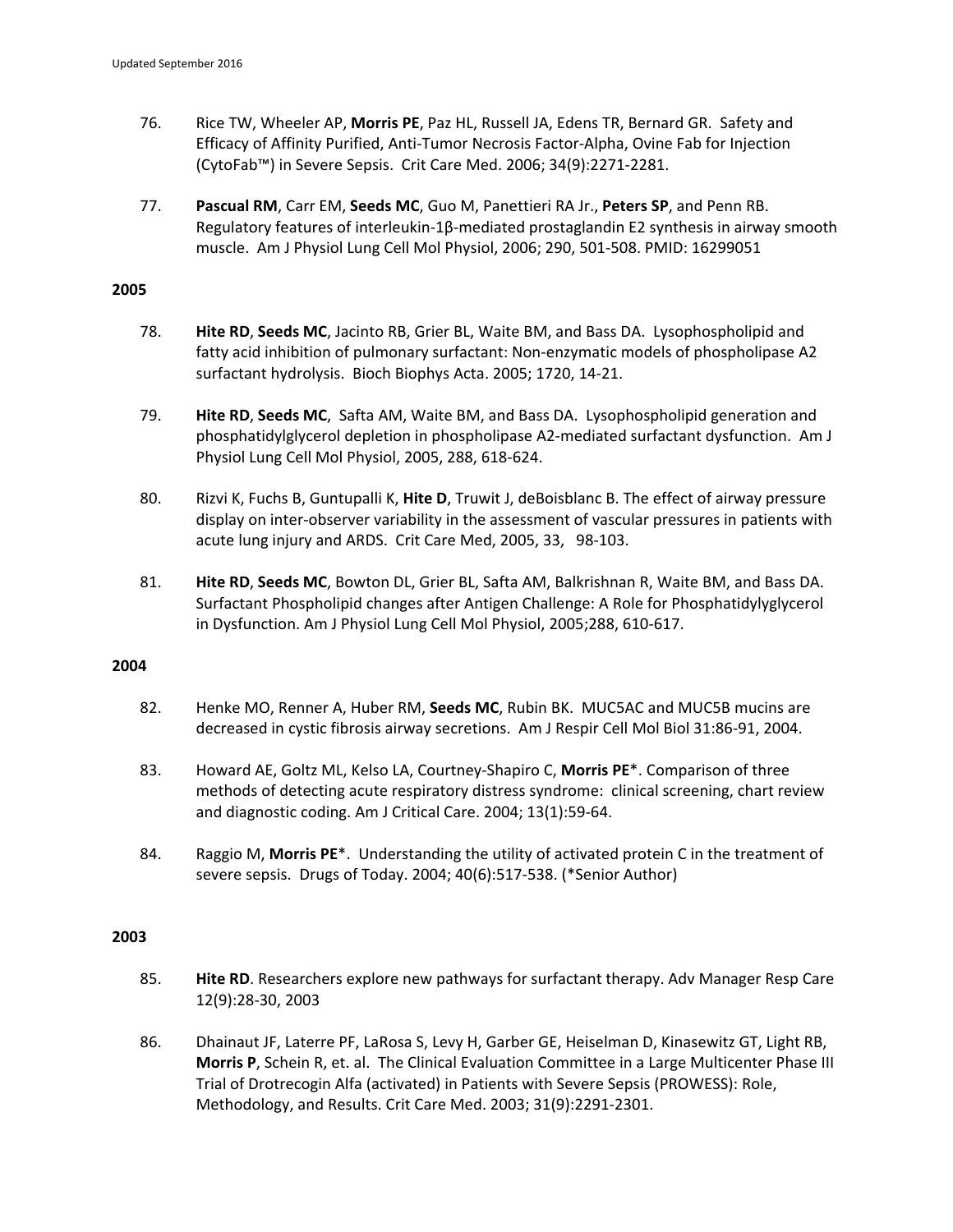- 76. Rice TW, Wheeler AP, **Morris PE**, Paz HL, Russell JA, Edens TR, Bernard GR. Safety and Efficacy of Affinity Purified, Anti‐Tumor Necrosis Factor‐Alpha, Ovine Fab for Injection (CytoFab™) in Severe Sepsis. Crit Care Med. 2006; 34(9):2271‐2281.
- 77. **Pascual RM**, Carr EM, **Seeds MC**, Guo M, Panettieri RA Jr., **Peters SP**, and Penn RB. Regulatory features of interleukin‐1β‐mediated prostaglandin E2 synthesis in airway smooth muscle. Am J Physiol Lung Cell Mol Physiol, 2006; 290, 501‐508. PMID: 16299051

- 78. **Hite RD**, **Seeds MC**, Jacinto RB, Grier BL, Waite BM, and Bass DA. Lysophospholipid and fatty acid inhibition of pulmonary surfactant: Non‐enzymatic models of phospholipase A2 surfactant hydrolysis. Bioch Biophys Acta. 2005; 1720, 14‐21.
- 79. **Hite RD**, **Seeds MC**, Safta AM, Waite BM, and Bass DA. Lysophospholipid generation and phosphatidylglycerol depletion in phospholipase A2‐mediated surfactant dysfunction. Am J Physiol Lung Cell Mol Physiol, 2005, 288, 618‐624.
- 80. Rizvi K, Fuchs B, Guntupalli K, **Hite D**, Truwit J, deBoisblanc B. The effect of airway pressure display on inter‐observer variability in the assessment of vascular pressures in patients with acute lung injury and ARDS. Crit Care Med, 2005, 33, 98‐103.
- 81. **Hite RD**, **Seeds MC**, Bowton DL, Grier BL, Safta AM, Balkrishnan R, Waite BM, and Bass DA. Surfactant Phospholipid changes after Antigen Challenge: A Role for Phosphatidylyglycerol in Dysfunction. Am J Physiol Lung Cell Mol Physiol, 2005;288, 610‐617.

# **2004**

- 82. Henke MO, Renner A, Huber RM, **Seeds MC**, Rubin BK. MUC5AC and MUC5B mucins are decreased in cystic fibrosis airway secretions. Am J Respir Cell Mol Biol 31:86‐91, 2004.
- 83. Howard AE, Goltz ML, Kelso LA, Courtney‐Shapiro C, **Morris PE**\*. Comparison of three methods of detecting acute respiratory distress syndrome: clinical screening, chart review and diagnostic coding. Am J Critical Care. 2004; 13(1):59‐64.
- 84. Raggio M, **Morris PE**\*. Understanding the utility of activated protein C in the treatment of severe sepsis. Drugs of Today. 2004; 40(6):517‐538. (\*Senior Author)

- 85. **Hite RD**. Researchers explore new pathways for surfactant therapy. Adv Manager Resp Care 12(9):28‐30, 2003
- 86. Dhainaut JF, Laterre PF, LaRosa S, Levy H, Garber GE, Heiselman D, Kinasewitz GT, Light RB, **Morris P**, Schein R, et. al. The Clinical Evaluation Committee in a Large Multicenter Phase III Trial of Drotrecogin Alfa (activated) in Patients with Severe Sepsis (PROWESS): Role, Methodology, and Results. Crit Care Med. 2003; 31(9):2291‐2301.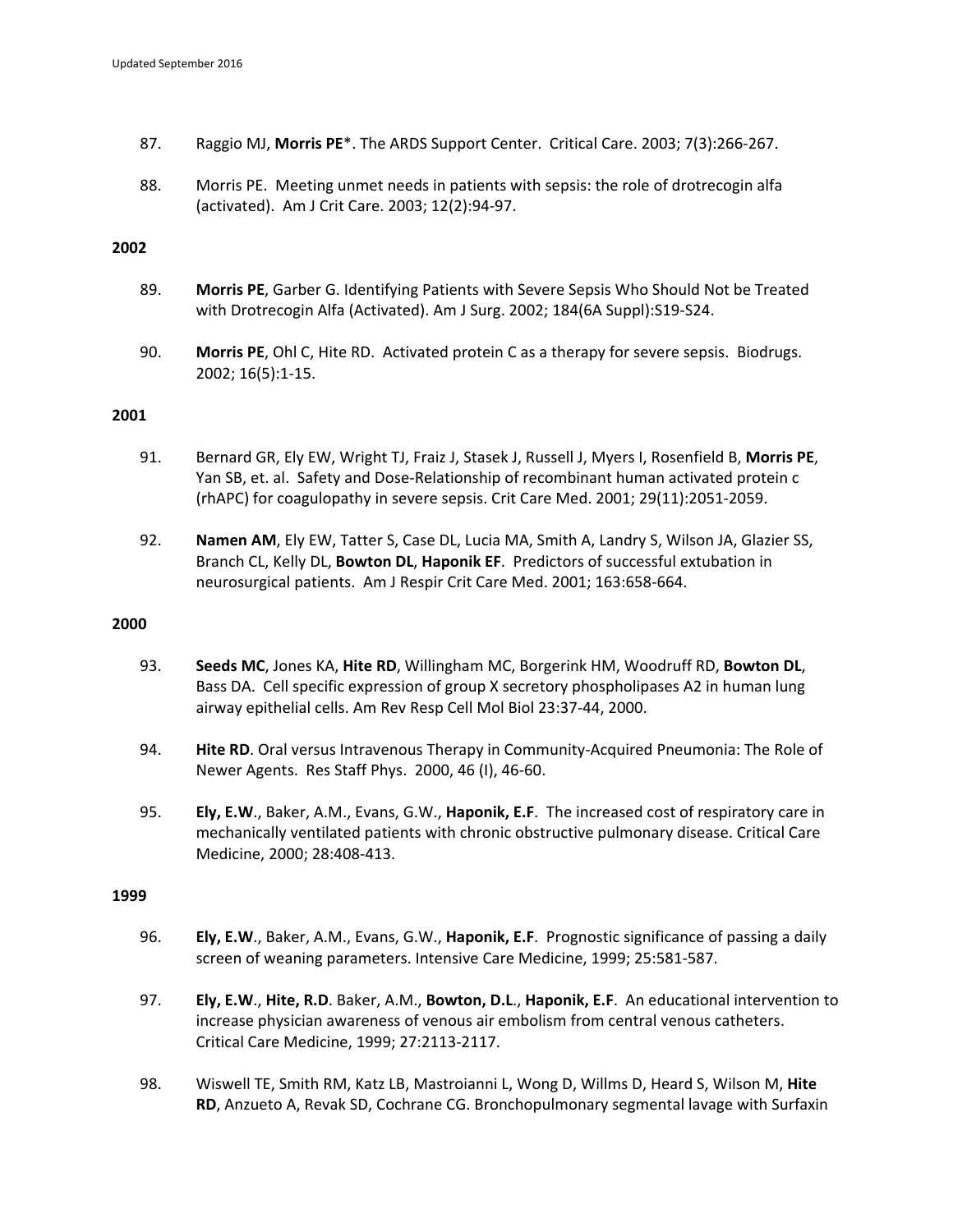- 87. Raggio MJ, **Morris PE**\*. The ARDS Support Center. Critical Care. 2003; 7(3):266‐267.
- 88. Morris PE. Meeting unmet needs in patients with sepsis: the role of drotrecogin alfa (activated). Am J Crit Care. 2003; 12(2):94‐97.

- 89. **Morris PE**, Garber G. Identifying Patients with Severe Sepsis Who Should Not be Treated with Drotrecogin Alfa (Activated). Am J Surg. 2002; 184(6A Suppl):S19‐S24.
- 90. **Morris PE**, Ohl C, Hite RD. Activated protein C as a therapy for severe sepsis. Biodrugs. 2002; 16(5):1‐15.

### **2001**

- 91. Bernard GR, Ely EW, Wright TJ, Fraiz J, Stasek J, Russell J, Myers I, Rosenfield B, **Morris PE**, Yan SB, et. al. Safety and Dose‐Relationship of recombinant human activated protein c (rhAPC) for coagulopathy in severe sepsis. Crit Care Med. 2001; 29(11):2051‐2059.
- 92. **Namen AM**, Ely EW, Tatter S, Case DL, Lucia MA, Smith A, Landry S, Wilson JA, Glazier SS, Branch CL, Kelly DL, **Bowton DL**, **Haponik EF**. Predictors of successful extubation in neurosurgical patients. Am J Respir Crit Care Med. 2001; 163:658‐664.

#### **2000**

- 93. **Seeds MC**, Jones KA, **Hite RD**, Willingham MC, Borgerink HM, Woodruff RD, **Bowton DL**, Bass DA. Cell specific expression of group X secretory phospholipases A2 in human lung airway epithelial cells. Am Rev Resp Cell Mol Biol 23:37‐44, 2000.
- 94. **Hite RD**. Oral versus Intravenous Therapy in Community‐Acquired Pneumonia: The Role of Newer Agents. Res Staff Phys. 2000, 46 (I), 46‐60.
- 95. **Ely, E.W**., Baker, A.M., Evans, G.W., **Haponik, E.F**. The increased cost of respiratory care in mechanically ventilated patients with chronic obstructive pulmonary disease. Critical Care Medicine, 2000; 28:408‐413.

- 96. **Ely, E.W**., Baker, A.M., Evans, G.W., **Haponik, E.F**. Prognostic significance of passing a daily screen of weaning parameters. Intensive Care Medicine, 1999; 25:581‐587.
- 97. **Ely, E.W**., **Hite, R.D**. Baker, A.M., **Bowton, D.L**., **Haponik, E.F**. An educational intervention to increase physician awareness of venous air embolism from central venous catheters. Critical Care Medicine, 1999; 27:2113‐2117.
- 98. Wiswell TE, Smith RM, Katz LB, Mastroianni L, Wong D, Willms D, Heard S, Wilson M, **Hite RD**, Anzueto A, Revak SD, Cochrane CG. Bronchopulmonary segmental lavage with Surfaxin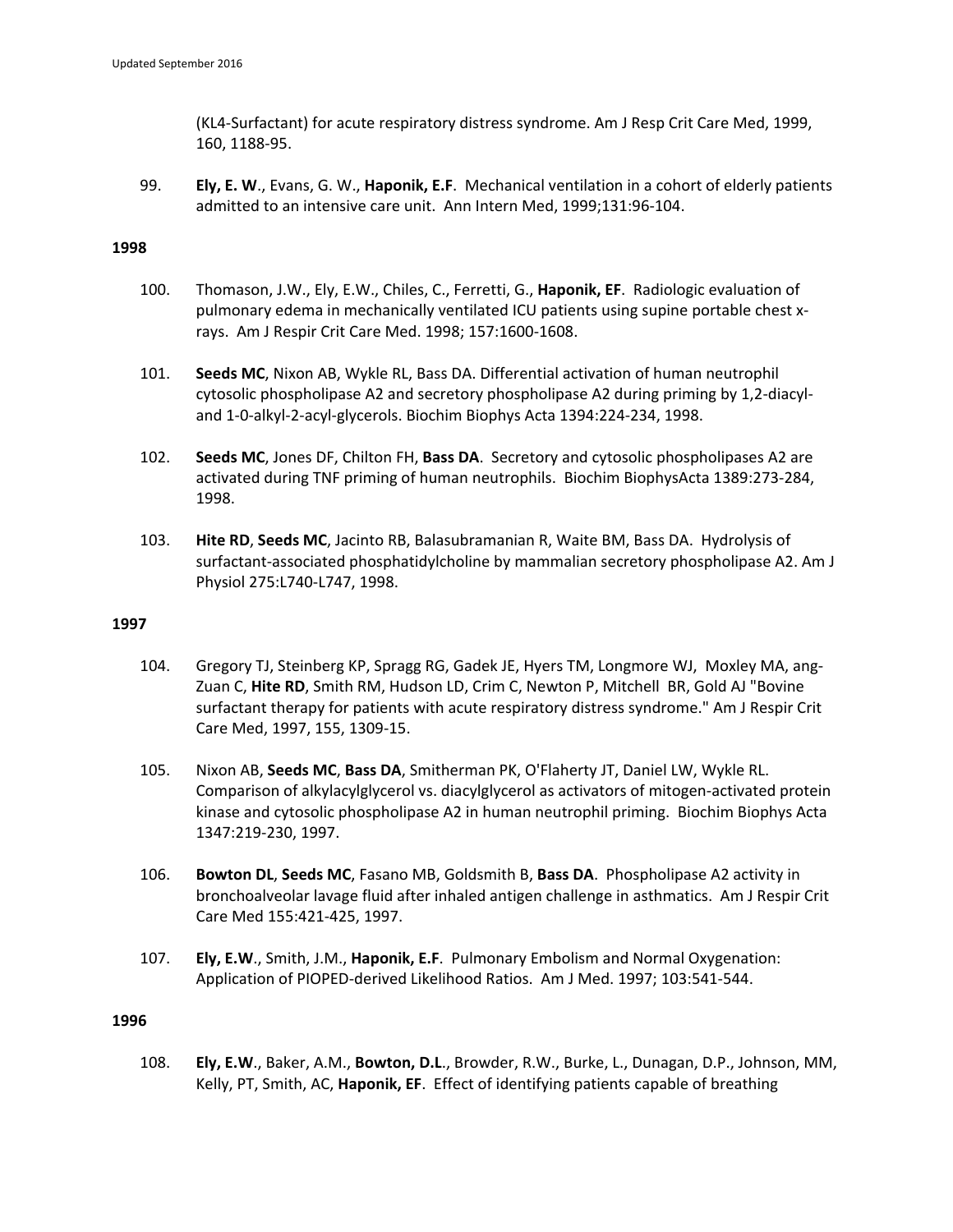(KL4‐Surfactant) for acute respiratory distress syndrome. Am J Resp Crit Care Med, 1999, 160, 1188‐95.

99. **Ely, E. W**., Evans, G. W., **Haponik, E.F**. Mechanical ventilation in a cohort of elderly patients admitted to an intensive care unit. Ann Intern Med, 1999;131:96‐104.

# **1998**

- 100. Thomason, J.W., Ely, E.W., Chiles, C., Ferretti, G., **Haponik, EF**. Radiologic evaluation of pulmonary edema in mechanically ventilated ICU patients using supine portable chest x‐ rays. Am J Respir Crit Care Med. 1998; 157:1600‐1608.
- 101. **Seeds MC**, Nixon AB, Wykle RL, Bass DA. Differential activation of human neutrophil cytosolic phospholipase A2 and secretory phospholipase A2 during priming by 1,2‐diacyl‐ and 1‐0‐alkyl‐2‐acyl‐glycerols. Biochim Biophys Acta 1394:224‐234, 1998.
- 102. **Seeds MC**, Jones DF, Chilton FH, **Bass DA**. Secretory and cytosolic phospholipases A2 are activated during TNF priming of human neutrophils. Biochim BiophysActa 1389:273‐284, 1998.
- 103. **Hite RD**, **Seeds MC**, Jacinto RB, Balasubramanian R, Waite BM, Bass DA. Hydrolysis of surfactant‐associated phosphatidylcholine by mammalian secretory phospholipase A2. Am J Physiol 275:L740‐L747, 1998.

# **1997**

- 104. Gregory TJ, Steinberg KP, Spragg RG, Gadek JE, Hyers TM, Longmore WJ, Moxley MA, ang‐ Zuan C, **Hite RD**, Smith RM, Hudson LD, Crim C, Newton P, Mitchell BR, Gold AJ "Bovine surfactant therapy for patients with acute respiratory distress syndrome." Am J Respir Crit Care Med, 1997, 155, 1309‐15.
- 105. Nixon AB, **Seeds MC**, **Bass DA**, Smitherman PK, O'Flaherty JT, Daniel LW, Wykle RL. Comparison of alkylacylglycerol vs. diacylglycerol as activators of mitogen‐activated protein kinase and cytosolic phospholipase A2 in human neutrophil priming. Biochim Biophys Acta 1347:219‐230, 1997.
- 106. **Bowton DL**, **Seeds MC**, Fasano MB, Goldsmith B, **Bass DA**. Phospholipase A2 activity in bronchoalveolar lavage fluid after inhaled antigen challenge in asthmatics. Am J Respir Crit Care Med 155:421‐425, 1997.
- 107. **Ely, E.W**., Smith, J.M., **Haponik, E.F**. Pulmonary Embolism and Normal Oxygenation: Application of PIOPED‐derived Likelihood Ratios. Am J Med. 1997; 103:541‐544.

# **1996**

108. **Ely, E.W**., Baker, A.M., **Bowton, D.L**., Browder, R.W., Burke, L., Dunagan, D.P., Johnson, MM, Kelly, PT, Smith, AC, **Haponik, EF**. Effect of identifying patients capable of breathing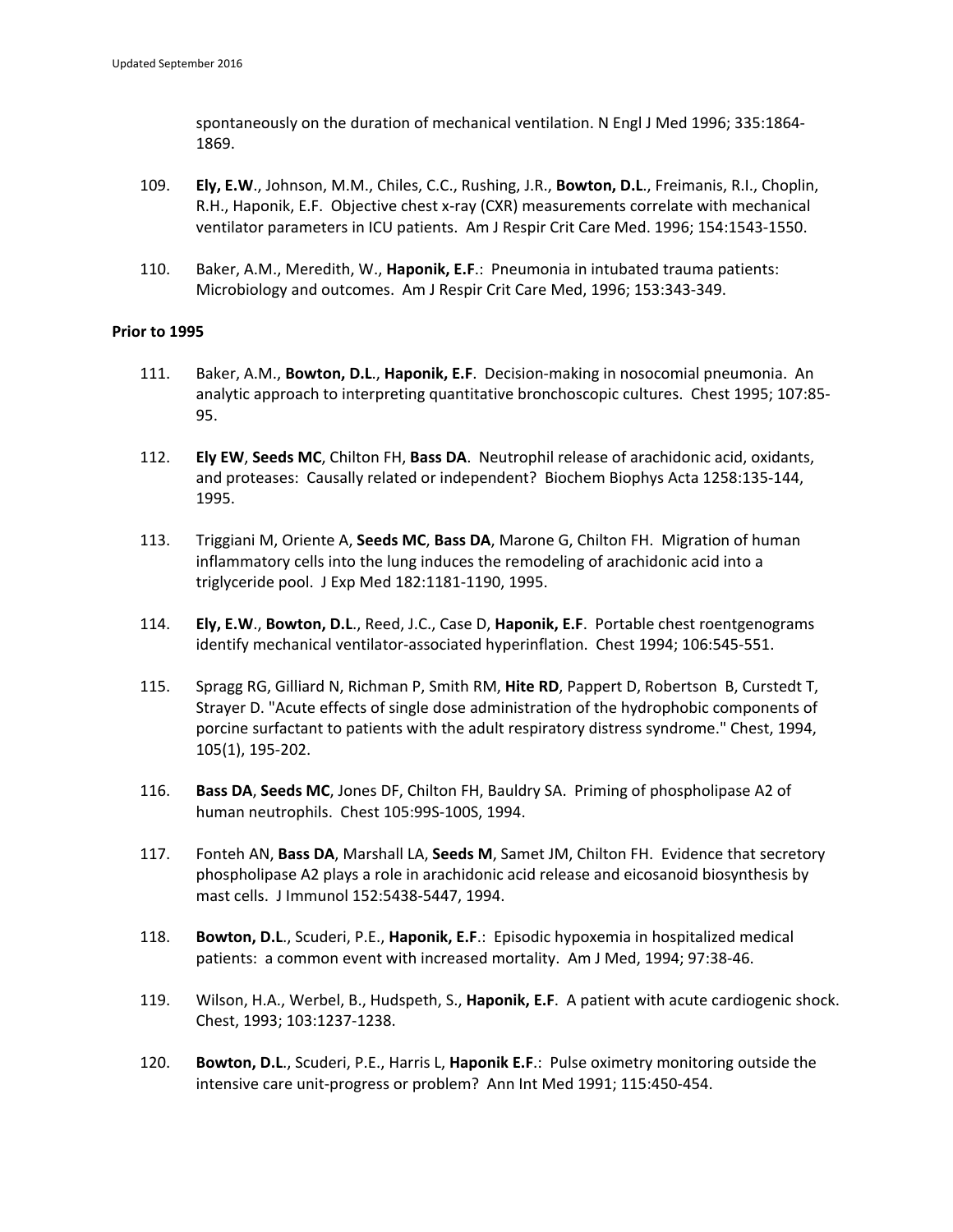spontaneously on the duration of mechanical ventilation. N Engl J Med 1996; 335:1864‐ 1869.

- 109. **Ely, E.W**., Johnson, M.M., Chiles, C.C., Rushing, J.R., **Bowton, D.L**., Freimanis, R.I., Choplin, R.H., Haponik, E.F. Objective chest x-ray (CXR) measurements correlate with mechanical ventilator parameters in ICU patients. Am J Respir Crit Care Med. 1996; 154:1543‐1550.
- 110. Baker, A.M., Meredith, W., **Haponik, E.F**.: Pneumonia in intubated trauma patients: Microbiology and outcomes. Am J Respir Crit Care Med, 1996; 153:343‐349.

# **Prior to 1995**

- 111. Baker, A.M., **Bowton, D.L**., **Haponik, E.F**. Decision‐making in nosocomial pneumonia. An analytic approach to interpreting quantitative bronchoscopic cultures. Chest 1995; 107:85‐ 95.
- 112. **Ely EW**, **Seeds MC**, Chilton FH, **Bass DA**. Neutrophil release of arachidonic acid, oxidants, and proteases: Causally related or independent? Biochem Biophys Acta 1258:135‐144, 1995.
- 113. Triggiani M, Oriente A, **Seeds MC**, **Bass DA**, Marone G, Chilton FH. Migration of human inflammatory cells into the lung induces the remodeling of arachidonic acid into a triglyceride pool. J Exp Med 182:1181‐1190, 1995.
- 114. **Ely, E.W**., **Bowton, D.L**., Reed, J.C., Case D, **Haponik, E.F**. Portable chest roentgenograms identify mechanical ventilator‐associated hyperinflation. Chest 1994; 106:545‐551.
- 115. Spragg RG, Gilliard N, Richman P, Smith RM, **Hite RD**, Pappert D, Robertson B, Curstedt T, Strayer D. "Acute effects of single dose administration of the hydrophobic components of porcine surfactant to patients with the adult respiratory distress syndrome." Chest, 1994, 105(1), 195‐202.
- 116. **Bass DA**, **Seeds MC**, Jones DF, Chilton FH, Bauldry SA. Priming of phospholipase A2 of human neutrophils. Chest 105:99S‐100S, 1994.
- 117. Fonteh AN, **Bass DA**, Marshall LA, **Seeds M**, Samet JM, Chilton FH. Evidence that secretory phospholipase A2 plays a role in arachidonic acid release and eicosanoid biosynthesis by mast cells. J Immunol 152:5438‐5447, 1994.
- 118. **Bowton, D.L**., Scuderi, P.E., **Haponik, E.F**.: Episodic hypoxemia in hospitalized medical patients: a common event with increased mortality. Am J Med, 1994; 97:38‐46.
- 119. Wilson, H.A., Werbel, B., Hudspeth, S., **Haponik, E.F**. A patient with acute cardiogenic shock. Chest, 1993; 103:1237‐1238.
- 120. **Bowton, D.L**., Scuderi, P.E., Harris L, **Haponik E.F**.: Pulse oximetry monitoring outside the intensive care unit‐progress or problem? Ann Int Med 1991; 115:450‐454.